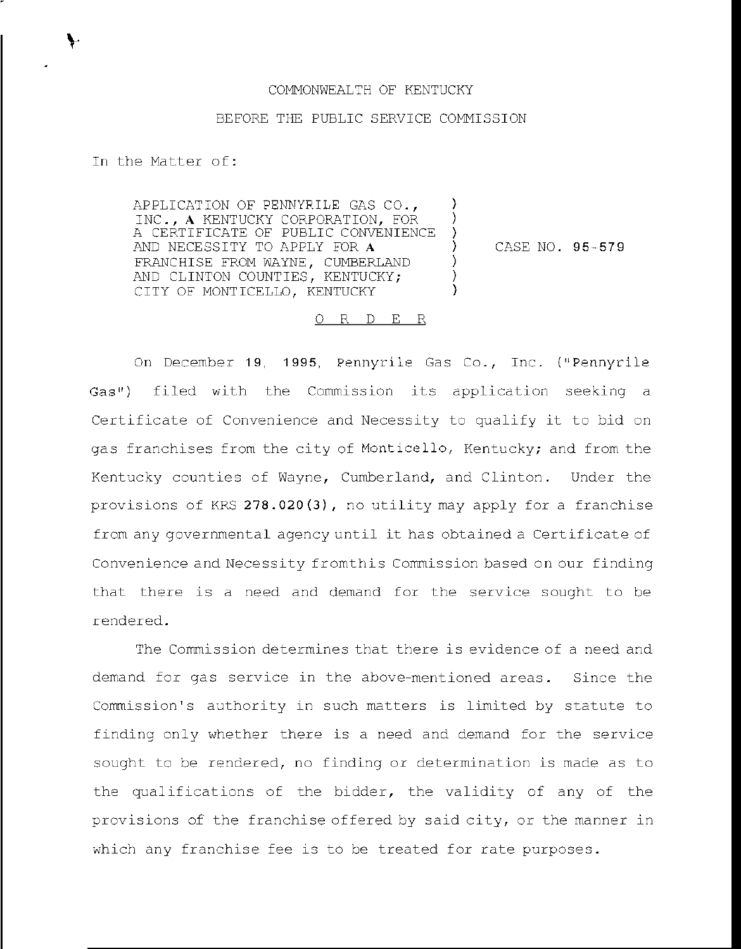## COMMONWEALTH OF KENTUCKY

## BEFORE THE PUBLIC SERVICE COMMISSION

) ) )

> ) ) )

In the Matter of:

APPLICATION OF PENNYRILE GAS CO., INC., A KENTUCKY CORPORATION, FOR A CERTIFICATE OF PUBLIC CONVENIENCE AND NECESSITY TO APPLY FOR A FRANCHISE FROM WAYNE, CUMBERLAND AND CLINTON COUNTIES, KENTUCKY; CITY OF MONTICELLO, KENTUCKY

) CASE NO. 95-579

## 0 R <sup>D</sup> E R

On December 19, 1995, Pennyrile Gas Co., Inc. ("Pennyrile Gas") filed with the Commission its application seeking <sup>a</sup> Certificate of Convenience and Necessity to qualify it to bid on gas franchises from the city of Monticello, Kentucky; and from the Kentucky counties of Wayne, Cumberland, and Clinton. Under the provisions of KRS 278.020(3), no utility may apply for <sup>a</sup> franchise from any governmental agency until it has obtained <sup>a</sup> Certificate of Convenience and Necessity fromthis Commission based on our finding that there is a need and demand for the service sought to be rendered.

The Commission determines that there is evidence of a need and demand for gas service in the above-mentioned areas. Since the Commission's authority in such matters is limited by statute to finding only whether there is a need and demand for the service sought to be rendered, no finding or determination is made as to the qualifications of the bidder, the validity of any of the provisions of the franchise offered by said city, or the manner in which any franchise fee is to be treated for rate purposes.